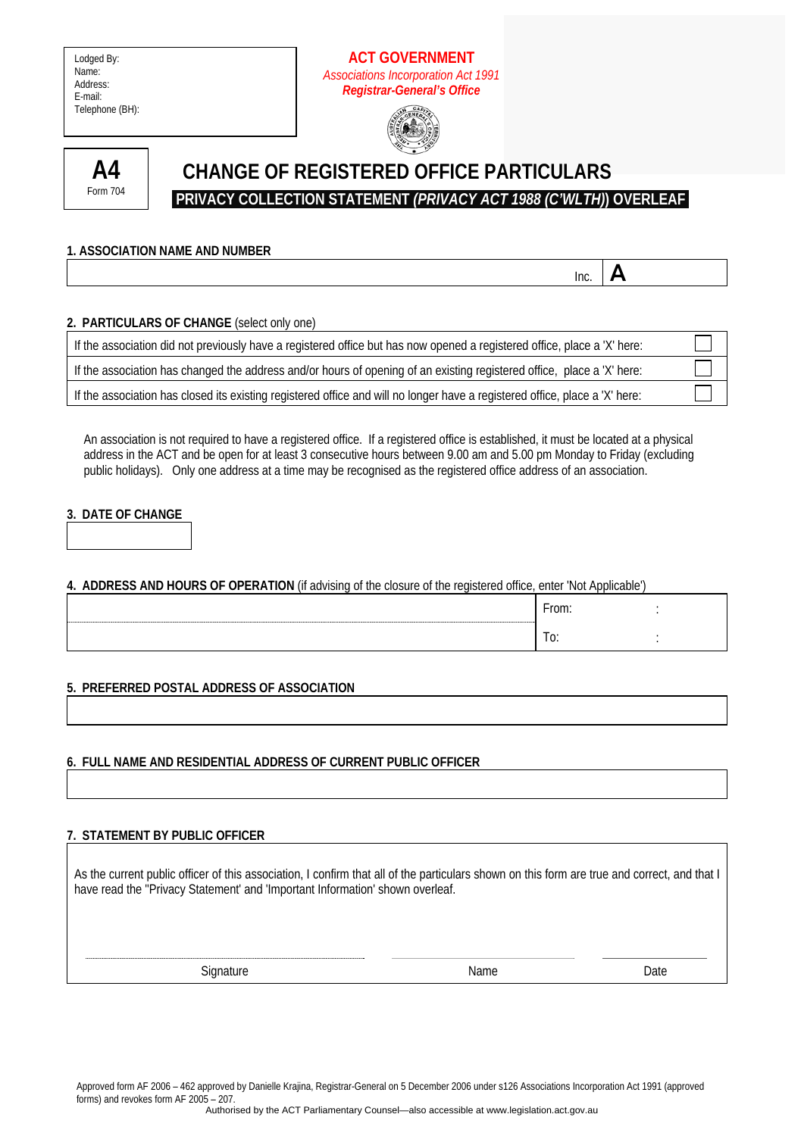Lodged By: Name: Address: E-mail: Telephone (BH):

### **ACT GOVERNMENT**  *Associations Incorporation Act 1991 Registrar-General's Office*





# **CHANGE OF REGISTERED OFFICE PARTICULARS PRIVACY COLLECTION STATEMENT** *(PRIVACY ACT 1988 (C'WLTH)***) OVERLEAF**

 $\overline{\mathsf{I}}$  Inc.  $\overline{\mathsf{A}}$ 

#### **2. PARTICULARS OF CHANGE** (select only one)

**1. ASSOCIATION NAME AND NUMBER** 

| If the association did not previously have a registered office but has now opened a registered office, place a 'X' here:    |  |
|-----------------------------------------------------------------------------------------------------------------------------|--|
| If the association has changed the address and/or hours of opening of an existing registered office, place a 'X' here:      |  |
| If the association has closed its existing registered office and will no longer have a registered office, place a 'X' here: |  |

An association is not required to have a registered office. If a registered office is established, it must be located at a physical address in the ACT and be open for at least 3 consecutive hours between 9.00 am and 5.00 pm Monday to Friday (excluding public holidays). Only one address at a time may be recognised as the registered office address of an association.

#### **3. DATE OF CHANGE**

**4. ADDRESS AND HOURS OF OPERATION** (if advising of the closure of the registered office, enter 'Not Applicable')

| ---------- | From:          |  |
|------------|----------------|--|
|            | -<br>$\cdot$ . |  |

**5. PREFERRED POSTAL ADDRESS OF ASSOCIATION** 

## **6. FULL NAME AND RESIDENTIAL ADDRESS OF CURRENT PUBLIC OFFICER**

#### **7. STATEMENT BY PUBLIC OFFICER**

As the current public officer of this association, I confirm that all of the particulars shown on this form are true and correct, and that I have read the ''Privacy Statement' and 'Important Information' shown overleaf.

Signature Date Date Name Name Date

Approved form AF 2006 – 462 approved by Danielle Krajina, Registrar-General on 5 December 2006 under s126 Associations Incorporation Act 1991 (approved forms) and revokes form AF 2005 – 207.